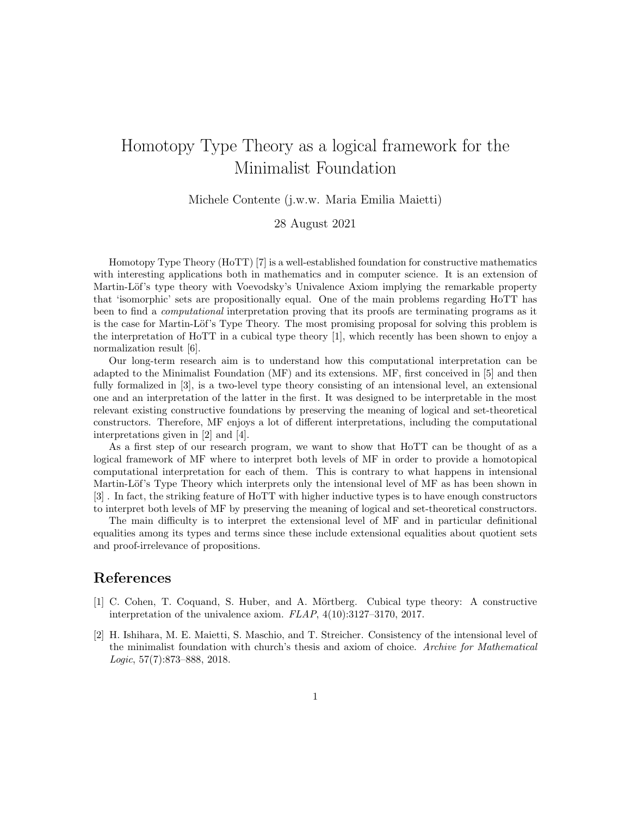## Homotopy Type Theory as a logical framework for the Minimalist Foundation

Michele Contente (j.w.w. Maria Emilia Maietti)

28 August 2021

Homotopy Type Theory (HoTT) [7] is a well-established foundation for constructive mathematics with interesting applications both in mathematics and in computer science. It is an extension of Martin-Löf's type theory with Voevodsky's Univalence Axiom implying the remarkable property that 'isomorphic' sets are propositionally equal. One of the main problems regarding HoTT has been to find a *computational* interpretation proving that its proofs are terminating programs as it is the case for Martin-Löf's Type Theory. The most promising proposal for solving this problem is the interpretation of HoTT in a cubical type theory [1], which recently has been shown to enjoy a normalization result [6].

Our long-term research aim is to understand how this computational interpretation can be adapted to the Minimalist Foundation (MF) and its extensions. MF, first conceived in [5] and then fully formalized in [3], is a two-level type theory consisting of an intensional level, an extensional one and an interpretation of the latter in the first. It was designed to be interpretable in the most relevant existing constructive foundations by preserving the meaning of logical and set-theoretical constructors. Therefore, MF enjoys a lot of different interpretations, including the computational interpretations given in [2] and [4].

As a first step of our research program, we want to show that HoTT can be thought of as a logical framework of MF where to interpret both levels of MF in order to provide a homotopical computational interpretation for each of them. This is contrary to what happens in intensional Martin-Löf's Type Theory which interprets only the intensional level of MF as has been shown in [3] . In fact, the striking feature of HoTT with higher inductive types is to have enough constructors to interpret both levels of MF by preserving the meaning of logical and set-theoretical constructors.

The main difficulty is to interpret the extensional level of MF and in particular definitional equalities among its types and terms since these include extensional equalities about quotient sets and proof-irrelevance of propositions.

## References

- [1] C. Cohen, T. Coquand, S. Huber, and A. Mörtberg. Cubical type theory: A constructive interpretation of the univalence axiom. FLAP, 4(10):3127–3170, 2017.
- [2] H. Ishihara, M. E. Maietti, S. Maschio, and T. Streicher. Consistency of the intensional level of the minimalist foundation with church's thesis and axiom of choice. Archive for Mathematical Logic, 57(7):873–888, 2018.